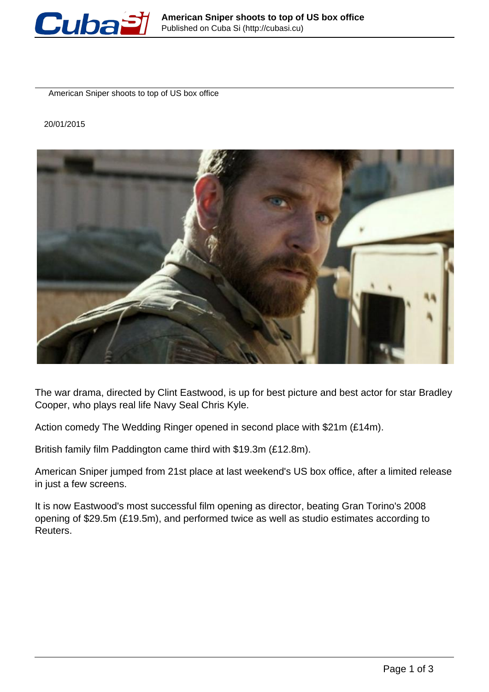

American Sniper shoots to top of US box office

20/01/2015



The war drama, directed by Clint Eastwood, is up for best picture and best actor for star Bradley Cooper, who plays real life Navy Seal Chris Kyle.

Action comedy The Wedding Ringer opened in second place with \$21m (£14m).

British family film Paddington came third with \$19.3m (£12.8m).

American Sniper jumped from 21st place at last weekend's US box office, after a limited release in just a few screens.

It is now Eastwood's most successful film opening as director, beating Gran Torino's 2008 opening of \$29.5m (£19.5m), and performed twice as well as studio estimates according to Reuters.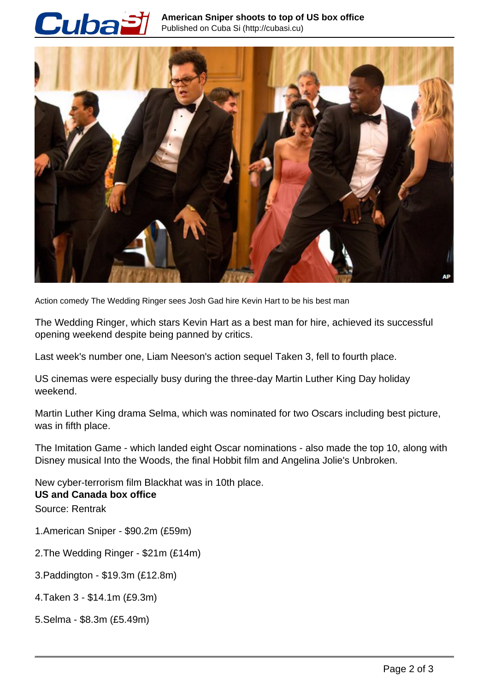## Cubai



Action comedy The Wedding Ringer sees Josh Gad hire Kevin Hart to be his best man

The Wedding Ringer, which stars Kevin Hart as a best man for hire, achieved its successful opening weekend despite being panned by critics.

Last week's number one, Liam Neeson's action sequel Taken 3, fell to fourth place.

US cinemas were especially busy during the three-day Martin Luther King Day holiday weekend.

Martin Luther King drama Selma, which was nominated for two Oscars including best picture, was in fifth place.

The Imitation Game - which landed eight Oscar nominations - also made the top 10, along with Disney musical Into the Woods, the final Hobbit film and Angelina Jolie's Unbroken.

New cyber-terrorism film Blackhat was in 10th place. **US and Canada box office** Source: Rentrak

- 1.American Sniper \$90.2m (£59m)
- 2.The Wedding Ringer \$21m (£14m)
- 3.Paddington \$19.3m (£12.8m)
- 4.Taken 3 \$14.1m (£9.3m)
- 5.Selma \$8.3m (£5.49m)